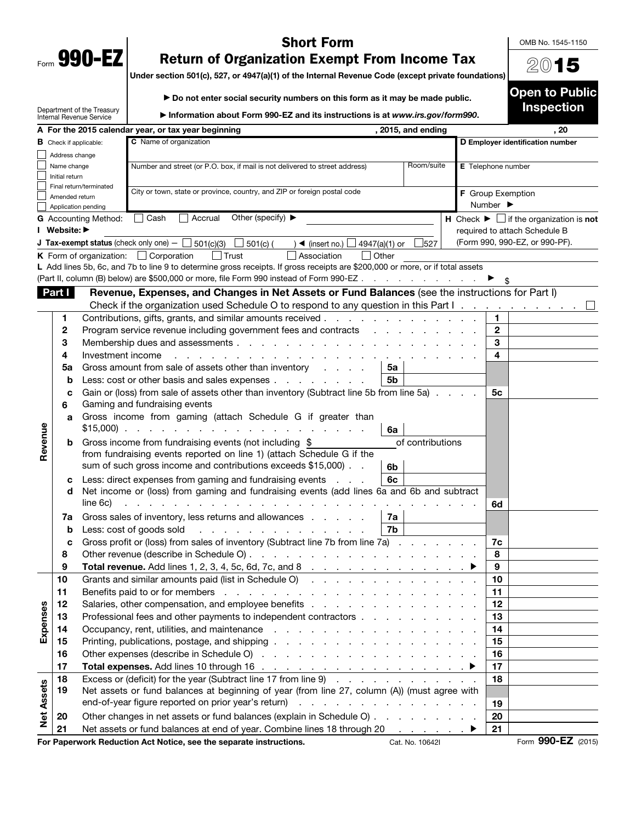| Form | 990-<br>г. |  |
|------|------------|--|

## Short Form

OMB No. 1545-1150

2015

Open to Public Inspection

## Return of Organization Exempt From Income Tax

Under section 501(c), 527, or 4947(a)(1) of the Internal Revenue Code (except private foundations)

▶ Do not enter social security numbers on this form as it may be made public.

|                   |                | Department of the Treasury<br><b>Internal Revenue Service</b>             | Information about Form 990-EZ and its instructions is at www.irs.gov/form990.                                                                                                                                                  |                             |                  |                              |              | mspecuon                                                      |
|-------------------|----------------|---------------------------------------------------------------------------|--------------------------------------------------------------------------------------------------------------------------------------------------------------------------------------------------------------------------------|-----------------------------|------------------|------------------------------|--------------|---------------------------------------------------------------|
|                   |                | A For the 2015 calendar year, or tax year beginning<br>, 2015, and ending |                                                                                                                                                                                                                                |                             |                  |                              |              | . 20                                                          |
|                   |                | C Name of organization<br><b>B</b> Check if applicable:                   |                                                                                                                                                                                                                                |                             |                  |                              |              | D Employer identification number                              |
|                   | Address change |                                                                           |                                                                                                                                                                                                                                |                             |                  |                              |              |                                                               |
|                   | Name change    |                                                                           | Number and street (or P.O. box, if mail is not delivered to street address)                                                                                                                                                    |                             | Room/suite       | <b>E</b> Telephone number    |              |                                                               |
|                   | Initial return |                                                                           |                                                                                                                                                                                                                                |                             |                  |                              |              |                                                               |
|                   | Amended return | Final return/terminated                                                   | City or town, state or province, country, and ZIP or foreign postal code                                                                                                                                                       |                             |                  | F Group Exemption            |              |                                                               |
|                   |                | Application pending                                                       |                                                                                                                                                                                                                                |                             |                  | Number $\blacktriangleright$ |              |                                                               |
|                   |                | <b>G</b> Accounting Method:                                               | Other (specify) $\blacktriangleright$<br>  Cash<br>Accrual                                                                                                                                                                     |                             |                  |                              |              | H Check $\blacktriangleright \Box$ if the organization is not |
|                   | I Website: ▶   |                                                                           |                                                                                                                                                                                                                                |                             |                  |                              |              | required to attach Schedule B                                 |
|                   |                |                                                                           | <b>J Tax-exempt status</b> (check only one) $-$ 501(c)(3)<br>$501(c)$ (<br>$\rightarrow$ (insert no.) $\Box$ 4947(a)(1) or                                                                                                     |                             | 527              |                              |              | (Form 990, 990-EZ, or 990-PF).                                |
|                   |                |                                                                           | <b>K</b> Form of organization: $\Box$ Corporation<br>│ Trust<br>Association                                                                                                                                                    | l Other                     |                  |                              |              |                                                               |
|                   |                |                                                                           | L Add lines 5b, 6c, and 7b to line 9 to determine gross receipts. If gross receipts are \$200,000 or more, or if total assets                                                                                                  |                             |                  |                              |              |                                                               |
|                   |                |                                                                           | (Part II, column (B) below) are \$500,000 or more, file Form 990 instead of Form 990-EZ                                                                                                                                        |                             |                  |                              |              |                                                               |
|                   | Part I         |                                                                           | Revenue, Expenses, and Changes in Net Assets or Fund Balances (see the instructions for Part I)                                                                                                                                |                             |                  |                              |              |                                                               |
|                   |                |                                                                           | Check if the organization used Schedule O to respond to any question in this Part I.                                                                                                                                           |                             |                  |                              |              |                                                               |
|                   | 1              |                                                                           | Contributions, gifts, grants, and similar amounts received                                                                                                                                                                     |                             |                  |                              | 1            |                                                               |
|                   | 2              |                                                                           | Program service revenue including government fees and contracts                                                                                                                                                                | and the control of the con- |                  |                              | $\mathbf{2}$ |                                                               |
|                   | 3              |                                                                           | Membership dues and assessments                                                                                                                                                                                                |                             |                  |                              | 3            |                                                               |
|                   | 4              | Investment income                                                         |                                                                                                                                                                                                                                |                             |                  |                              | 4            |                                                               |
|                   | 5a             |                                                                           | Gross amount from sale of assets other than inventory                                                                                                                                                                          | 5a<br>5 <sub>b</sub>        |                  |                              |              |                                                               |
|                   | b              |                                                                           | Less: cost or other basis and sales expenses<br>Gain or (loss) from sale of assets other than inventory (Subtract line 5b from line 5a)                                                                                        |                             |                  |                              | 5с           |                                                               |
|                   | c<br>6         |                                                                           | Gaming and fundraising events                                                                                                                                                                                                  |                             |                  |                              |              |                                                               |
|                   | a              |                                                                           | Gross income from gaming (attach Schedule G if greater than                                                                                                                                                                    |                             |                  |                              |              |                                                               |
|                   |                | $$15,000$ .                                                               | and a state of the state of the                                                                                                                                                                                                | 6a                          |                  |                              |              |                                                               |
| Revenue           | b              |                                                                           | Gross income from fundraising events (not including \$                                                                                                                                                                         |                             | of contributions |                              |              |                                                               |
|                   |                |                                                                           | from fundraising events reported on line 1) (attach Schedule G if the                                                                                                                                                          |                             |                  |                              |              |                                                               |
|                   |                |                                                                           | sum of such gross income and contributions exceeds \$15,000).                                                                                                                                                                  | 6b                          |                  |                              |              |                                                               |
|                   | c              |                                                                           | Less: direct expenses from gaming and fundraising events<br>$\mathbf{L} = \mathbf{L} \times \mathbf{L}$                                                                                                                        | 6c                          |                  |                              |              |                                                               |
|                   | d              |                                                                           | Net income or (loss) from gaming and fundraising events (add lines 6a and 6b and subtract                                                                                                                                      |                             |                  |                              |              |                                                               |
|                   |                | line 6c)                                                                  |                                                                                                                                                                                                                                |                             |                  |                              | 6d           |                                                               |
|                   | 7a             |                                                                           | Gross sales of inventory, less returns and allowances                                                                                                                                                                          | 7a                          |                  |                              |              |                                                               |
|                   | b              |                                                                           | Less: cost of goods sold<br>the contract of the con-                                                                                                                                                                           | 7b                          |                  |                              |              |                                                               |
|                   | c              |                                                                           | Gross profit or (loss) from sales of inventory (Subtract line 7b from line 7a)                                                                                                                                                 |                             |                  |                              | 7c<br>8      |                                                               |
|                   | 8<br>9         |                                                                           | Other revenue (describe in Schedule O).<br>the contract of the contract of the contract of                                                                                                                                     |                             |                  |                              | 9            |                                                               |
|                   | 10             |                                                                           | <b>Total revenue.</b> Add lines 1, 2, 3, 4, 5c, 6d, 7c, and 8<br>Grants and similar amounts paid (list in Schedule O)                                                                                                          |                             |                  |                              | 10           |                                                               |
|                   | 11             |                                                                           | Benefits paid to or for members (e.g. in the contract of the contract of the contract of the contract of the contract of the contract of the contract of the contract of the contract of the contract of the contract of the c |                             |                  |                              | 11           |                                                               |
|                   | 12             |                                                                           |                                                                                                                                                                                                                                |                             |                  |                              | 12           |                                                               |
| Expenses          | 13             |                                                                           | Professional fees and other payments to independent contractors                                                                                                                                                                |                             |                  |                              | 13           |                                                               |
|                   | 14             |                                                                           |                                                                                                                                                                                                                                |                             |                  |                              | 14           |                                                               |
|                   | 15             |                                                                           |                                                                                                                                                                                                                                |                             |                  |                              | 15           |                                                               |
|                   | 16             |                                                                           |                                                                                                                                                                                                                                |                             |                  |                              | 16           |                                                               |
|                   | 17             |                                                                           |                                                                                                                                                                                                                                |                             |                  |                              | 17           |                                                               |
|                   | 18             |                                                                           | Excess or (deficit) for the year (Subtract line 17 from line 9)                                                                                                                                                                |                             |                  |                              | 18           |                                                               |
|                   | 19             |                                                                           | Net assets or fund balances at beginning of year (from line 27, column (A)) (must agree with                                                                                                                                   |                             |                  |                              |              |                                                               |
| <b>Net Assets</b> |                |                                                                           |                                                                                                                                                                                                                                |                             |                  |                              | 19           |                                                               |
|                   | 20             |                                                                           | Other changes in net assets or fund balances (explain in Schedule O)                                                                                                                                                           |                             |                  |                              | 20           |                                                               |
|                   | 21             |                                                                           | Net assets or fund balances at end of year. Combine lines 18 through 20                                                                                                                                                        |                             |                  | ▶                            | 21           |                                                               |
|                   |                |                                                                           | For Paperwork Reduction Act Notice, see the separate instructions.                                                                                                                                                             |                             | Cat. No. 10642I  |                              |              | Form 990-EZ (2015)                                            |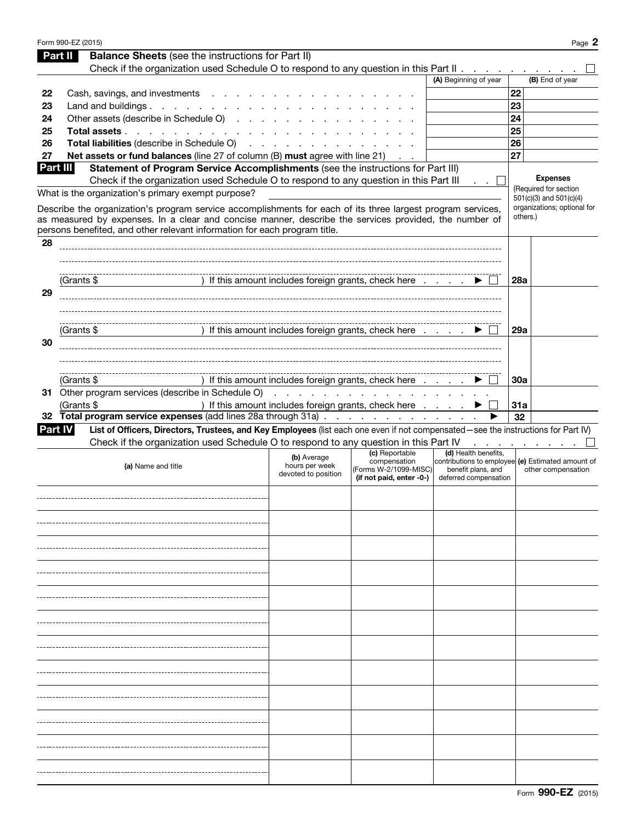|    | Form 990-EZ (2015)                                                                                                                                                                                                                                                                                |                                                      |                                                                                                                                                                                                                                   |                                                                     | Page 2                                                                  |
|----|---------------------------------------------------------------------------------------------------------------------------------------------------------------------------------------------------------------------------------------------------------------------------------------------------|------------------------------------------------------|-----------------------------------------------------------------------------------------------------------------------------------------------------------------------------------------------------------------------------------|---------------------------------------------------------------------|-------------------------------------------------------------------------|
|    | <b>Balance Sheets</b> (see the instructions for Part II)<br>Part II                                                                                                                                                                                                                               |                                                      |                                                                                                                                                                                                                                   |                                                                     |                                                                         |
|    | Check if the organization used Schedule O to respond to any question in this Part II                                                                                                                                                                                                              |                                                      |                                                                                                                                                                                                                                   |                                                                     |                                                                         |
|    |                                                                                                                                                                                                                                                                                                   |                                                      |                                                                                                                                                                                                                                   | (A) Beginning of year                                               | (B) End of year                                                         |
| 22 | Cash, savings, and investments                                                                                                                                                                                                                                                                    |                                                      |                                                                                                                                                                                                                                   |                                                                     | 22                                                                      |
| 23 | Land and buildings                                                                                                                                                                                                                                                                                |                                                      |                                                                                                                                                                                                                                   |                                                                     | 23                                                                      |
| 24 | Other assets (describe in Schedule O)                                                                                                                                                                                                                                                             |                                                      |                                                                                                                                                                                                                                   |                                                                     | 24                                                                      |
| 25 | Total assets                                                                                                                                                                                                                                                                                      |                                                      |                                                                                                                                                                                                                                   |                                                                     | 25                                                                      |
| 26 | Total liabilities (describe in Schedule O)                                                                                                                                                                                                                                                        |                                                      |                                                                                                                                                                                                                                   |                                                                     | 26                                                                      |
| 27 | Net assets or fund balances (line 27 of column (B) must agree with line 21)                                                                                                                                                                                                                       |                                                      |                                                                                                                                                                                                                                   |                                                                     | 27                                                                      |
|    | Part III<br>Statement of Program Service Accomplishments (see the instructions for Part III)<br>Check if the organization used Schedule O to respond to any question in this Part III                                                                                                             |                                                      |                                                                                                                                                                                                                                   |                                                                     | <b>Expenses</b><br>(Required for section                                |
|    | What is the organization's primary exempt purpose?                                                                                                                                                                                                                                                |                                                      |                                                                                                                                                                                                                                   |                                                                     | $501(c)(3)$ and $501(c)(4)$                                             |
|    | Describe the organization's program service accomplishments for each of its three largest program services,<br>as measured by expenses. In a clear and concise manner, describe the services provided, the number of<br>persons benefited, and other relevant information for each program title. |                                                      |                                                                                                                                                                                                                                   |                                                                     | organizations; optional for<br>others.)                                 |
| 28 |                                                                                                                                                                                                                                                                                                   |                                                      |                                                                                                                                                                                                                                   |                                                                     |                                                                         |
|    |                                                                                                                                                                                                                                                                                                   |                                                      |                                                                                                                                                                                                                                   |                                                                     |                                                                         |
|    | (Grants \$                                                                                                                                                                                                                                                                                        | ) If this amount includes foreign grants, check here |                                                                                                                                                                                                                                   |                                                                     | 28a                                                                     |
| 29 |                                                                                                                                                                                                                                                                                                   |                                                      |                                                                                                                                                                                                                                   |                                                                     |                                                                         |
|    |                                                                                                                                                                                                                                                                                                   |                                                      |                                                                                                                                                                                                                                   |                                                                     |                                                                         |
|    |                                                                                                                                                                                                                                                                                                   |                                                      |                                                                                                                                                                                                                                   |                                                                     |                                                                         |
|    | (Grants \$                                                                                                                                                                                                                                                                                        | ) If this amount includes foreign grants, check here |                                                                                                                                                                                                                                   |                                                                     | 29a                                                                     |
| 30 |                                                                                                                                                                                                                                                                                                   |                                                      |                                                                                                                                                                                                                                   |                                                                     |                                                                         |
|    |                                                                                                                                                                                                                                                                                                   |                                                      |                                                                                                                                                                                                                                   |                                                                     |                                                                         |
|    |                                                                                                                                                                                                                                                                                                   |                                                      |                                                                                                                                                                                                                                   |                                                                     |                                                                         |
|    | (Grants \$                                                                                                                                                                                                                                                                                        | If this amount includes foreign grants, check here   |                                                                                                                                                                                                                                   |                                                                     | <b>30a</b>                                                              |
|    | 31 Other program services (describe in Schedule O)                                                                                                                                                                                                                                                |                                                      | $\frac{1}{2}$ . The state of the state of the state of the state of the state of the state of the state of the state of the state of the state of the state of the state of the state of the state of the state of the state of t |                                                                     |                                                                         |
|    | (Grants \$                                                                                                                                                                                                                                                                                        | ) If this amount includes foreign grants, check here |                                                                                                                                                                                                                                   |                                                                     | 31a                                                                     |
|    | 32 Total program service expenses (add lines 28a through 31a)                                                                                                                                                                                                                                     |                                                      |                                                                                                                                                                                                                                   |                                                                     | 32                                                                      |
|    | List of Officers, Directors, Trustees, and Key Employees (list each one even if not compensated-see the instructions for Part IV)<br><b>Part IV</b>                                                                                                                                               |                                                      |                                                                                                                                                                                                                                   |                                                                     |                                                                         |
|    | Check if the organization used Schedule O to respond to any question in this Part IV                                                                                                                                                                                                              |                                                      |                                                                                                                                                                                                                                   |                                                                     |                                                                         |
|    | (a) Name and title                                                                                                                                                                                                                                                                                | (b) Average<br>hours per week<br>devoted to position | (c) Reportable<br>compensation<br>(Forms W-2/1099-MISC)<br>(if not paid, enter -0-)                                                                                                                                               | (d) Health benefits,<br>benefit plans, and<br>deferred compensation | contributions to employee (e) Estimated amount of<br>other compensation |
|    |                                                                                                                                                                                                                                                                                                   |                                                      |                                                                                                                                                                                                                                   |                                                                     |                                                                         |
|    |                                                                                                                                                                                                                                                                                                   |                                                      |                                                                                                                                                                                                                                   |                                                                     |                                                                         |
|    |                                                                                                                                                                                                                                                                                                   |                                                      |                                                                                                                                                                                                                                   |                                                                     |                                                                         |
|    |                                                                                                                                                                                                                                                                                                   |                                                      |                                                                                                                                                                                                                                   |                                                                     |                                                                         |
|    |                                                                                                                                                                                                                                                                                                   |                                                      |                                                                                                                                                                                                                                   |                                                                     |                                                                         |
|    |                                                                                                                                                                                                                                                                                                   |                                                      |                                                                                                                                                                                                                                   |                                                                     |                                                                         |
|    |                                                                                                                                                                                                                                                                                                   |                                                      |                                                                                                                                                                                                                                   |                                                                     |                                                                         |
|    |                                                                                                                                                                                                                                                                                                   |                                                      |                                                                                                                                                                                                                                   |                                                                     |                                                                         |
|    |                                                                                                                                                                                                                                                                                                   |                                                      |                                                                                                                                                                                                                                   |                                                                     |                                                                         |
|    |                                                                                                                                                                                                                                                                                                   |                                                      |                                                                                                                                                                                                                                   |                                                                     |                                                                         |
|    |                                                                                                                                                                                                                                                                                                   |                                                      |                                                                                                                                                                                                                                   |                                                                     |                                                                         |
|    |                                                                                                                                                                                                                                                                                                   |                                                      |                                                                                                                                                                                                                                   |                                                                     |                                                                         |
|    |                                                                                                                                                                                                                                                                                                   |                                                      |                                                                                                                                                                                                                                   |                                                                     |                                                                         |
|    |                                                                                                                                                                                                                                                                                                   |                                                      |                                                                                                                                                                                                                                   |                                                                     |                                                                         |
|    |                                                                                                                                                                                                                                                                                                   |                                                      |                                                                                                                                                                                                                                   |                                                                     |                                                                         |
|    |                                                                                                                                                                                                                                                                                                   |                                                      |                                                                                                                                                                                                                                   |                                                                     |                                                                         |
|    |                                                                                                                                                                                                                                                                                                   |                                                      |                                                                                                                                                                                                                                   |                                                                     |                                                                         |
|    |                                                                                                                                                                                                                                                                                                   |                                                      |                                                                                                                                                                                                                                   |                                                                     |                                                                         |
|    |                                                                                                                                                                                                                                                                                                   |                                                      |                                                                                                                                                                                                                                   |                                                                     |                                                                         |
|    |                                                                                                                                                                                                                                                                                                   |                                                      |                                                                                                                                                                                                                                   |                                                                     |                                                                         |
|    |                                                                                                                                                                                                                                                                                                   |                                                      |                                                                                                                                                                                                                                   |                                                                     |                                                                         |
|    |                                                                                                                                                                                                                                                                                                   |                                                      |                                                                                                                                                                                                                                   |                                                                     |                                                                         |
|    |                                                                                                                                                                                                                                                                                                   |                                                      |                                                                                                                                                                                                                                   |                                                                     |                                                                         |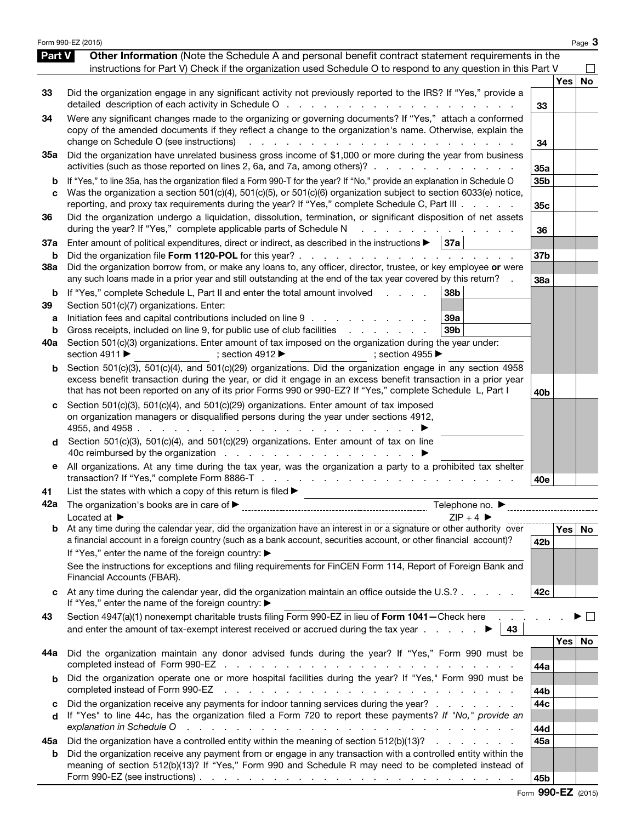|                   | Form 990-EZ (2015)                                                                                                                                                                                                                                                                                                                                                                                                                                                                                                                                               |                        |       | Page 3    |
|-------------------|------------------------------------------------------------------------------------------------------------------------------------------------------------------------------------------------------------------------------------------------------------------------------------------------------------------------------------------------------------------------------------------------------------------------------------------------------------------------------------------------------------------------------------------------------------------|------------------------|-------|-----------|
| Part V            | Other Information (Note the Schedule A and personal benefit contract statement requirements in the<br>instructions for Part V) Check if the organization used Schedule O to respond to any question in this Part V                                                                                                                                                                                                                                                                                                                                               |                        |       |           |
| 33                | Did the organization engage in any significant activity not previously reported to the IRS? If "Yes," provide a<br>detailed description of each activity in Schedule O                                                                                                                                                                                                                                                                                                                                                                                           | 33                     | Yes l | <b>No</b> |
| 34                | Were any significant changes made to the organizing or governing documents? If "Yes," attach a conformed<br>copy of the amended documents if they reflect a change to the organization's name. Otherwise, explain the<br>change on Schedule O (see instructions)<br>$\sim$ $\sim$<br>$\mathbf{L}^{\text{max}}$<br>the contract of the contract of                                                                                                                                                                                                                | 34                     |       |           |
| 35a               | Did the organization have unrelated business gross income of \$1,000 or more during the year from business<br>activities (such as those reported on lines 2, 6a, and 7a, among others)?                                                                                                                                                                                                                                                                                                                                                                          | 35a                    |       |           |
| c                 | If "Yes," to line 35a, has the organization filed a Form 990-T for the year? If "No," provide an explanation in Schedule O<br>Was the organization a section 501(c)(4), 501(c)(5), or 501(c)(6) organization subject to section 6033(e) notice,<br>reporting, and proxy tax requirements during the year? If "Yes," complete Schedule C, Part III                                                                                                                                                                                                                | 35b<br>35 <sub>c</sub> |       |           |
| 36                | Did the organization undergo a liquidation, dissolution, termination, or significant disposition of net assets<br>during the year? If "Yes," complete applicable parts of Schedule N                                                                                                                                                                                                                                                                                                                                                                             | 36                     |       |           |
| 37a<br>b          | Enter amount of political expenditures, direct or indirect, as described in the instructions $\blacktriangleright$   37a                                                                                                                                                                                                                                                                                                                                                                                                                                         | 37 <sub>b</sub>        |       |           |
| <b>38a</b>        | Did the organization borrow from, or make any loans to, any officer, director, trustee, or key employee or were<br>any such loans made in a prior year and still outstanding at the end of the tax year covered by this return?                                                                                                                                                                                                                                                                                                                                  | 38a                    |       |           |
| b<br>39<br>а<br>b | If "Yes," complete Schedule L, Part II and enter the total amount involved<br>38b<br>and a state<br>Section 501(c)(7) organizations. Enter:<br>Initiation fees and capital contributions included on line 9<br>39a<br>Gross receipts, included on line 9, for public use of club facilities<br>39b                                                                                                                                                                                                                                                               |                        |       |           |
| 40a               | Section 501(c)(3) organizations. Enter amount of tax imposed on the organization during the year under:<br>section 4911 ▶<br>; section 4912 $\blacktriangleright$<br>; section 4955 $\blacktriangleright$                                                                                                                                                                                                                                                                                                                                                        |                        |       |           |
| b                 | Section 501(c)(3), 501(c)(4), and 501(c)(29) organizations. Did the organization engage in any section 4958<br>excess benefit transaction during the year, or did it engage in an excess benefit transaction in a prior year<br>that has not been reported on any of its prior Forms 990 or 990-EZ? If "Yes," complete Schedule L, Part I                                                                                                                                                                                                                        | 40b                    |       |           |
|                   | Section 501(c)(3), 501(c)(4), and 501(c)(29) organizations. Enter amount of tax imposed<br>on organization managers or disqualified persons during the year under sections 4912,<br>4955, and 4958 $\ldots$ $\ldots$ $\ldots$ $\ldots$<br>the contract of the contract of the contract of the contract of the contract of the contract of the contract of                                                                                                                                                                                                        |                        |       |           |
| d                 | Section 501(c)(3), 501(c)(4), and 501(c)(29) organizations. Enter amount of tax on line                                                                                                                                                                                                                                                                                                                                                                                                                                                                          |                        |       |           |
| е                 | All organizations. At any time during the tax year, was the organization a party to a prohibited tax shelter                                                                                                                                                                                                                                                                                                                                                                                                                                                     | 40e                    |       |           |
| 41                | List the states with which a copy of this return is filed $\blacktriangleright$                                                                                                                                                                                                                                                                                                                                                                                                                                                                                  |                        |       |           |
| 42a               | Telephone no. $\blacktriangleright$<br>$ZIP + 4$<br>Located at $\blacktriangleright$                                                                                                                                                                                                                                                                                                                                                                                                                                                                             |                        |       |           |
|                   | $\overline{a}$ $\overline{b}$ $\overline{c}$ $\overline{c}$ $\overline{c}$ $\overline{c}$ $\overline{c}$ $\overline{c}$ $\overline{c}$ $\overline{c}$ $\overline{c}$ $\overline{c}$ $\overline{c}$ $\overline{c}$ $\overline{c}$ $\overline{c}$ $\overline{c}$ $\overline{c}$ $\overline{c}$ $\overline{c}$ $\overline{c}$ $\overline{c}$ $\overline{c}$ $\overline{c}$ $\overline{$<br>a financial account in a foreign country (such as a bank account, securities account, or other financial account)?<br>If "Yes," enter the name of the foreign country: ▶ | 42b                    |       | Yes No    |
|                   | See the instructions for exceptions and filing requirements for FinCEN Form 114, Report of Foreign Bank and<br>Financial Accounts (FBAR).                                                                                                                                                                                                                                                                                                                                                                                                                        |                        |       |           |
|                   | At any time during the calendar year, did the organization maintain an office outside the U.S.?<br>If "Yes," enter the name of the foreign country: ▶                                                                                                                                                                                                                                                                                                                                                                                                            | 42c                    |       |           |
| 43                | Section 4947(a)(1) nonexempt charitable trusts filing Form 990-EZ in lieu of Form 1041-Check here<br>and enter the amount of tax-exempt interest received or accrued during the tax year $\ldots$ $\ldots$<br>43                                                                                                                                                                                                                                                                                                                                                 |                        |       |           |
| 44a               | Did the organization maintain any donor advised funds during the year? If "Yes," Form 990 must be                                                                                                                                                                                                                                                                                                                                                                                                                                                                | 44a                    | Yes   | No        |
| b                 | Did the organization operate one or more hospital facilities during the year? If "Yes," Form 990 must be<br>completed instead of Form 990-EZ<br>and a company of the company of the company of the company of the company of the company of the company of the                                                                                                                                                                                                                                                                                                   | 44b                    |       |           |
| с<br>d            | Did the organization receive any payments for indoor tanning services during the year?<br>If "Yes" to line 44c, has the organization filed a Form 720 to report these payments? If "No," provide an<br>explanation in Schedule O<br>والمتعاون والمتعاون والمتعاون والمتعاون والمتعاونة والمتعاونة والمتعاونة والمتعاونة والمتعاونة والمتعاونة                                                                                                                                                                                                                    | 44c<br>44d             |       |           |
| 45а               | Did the organization have a controlled entity within the meaning of section 512(b)(13)?                                                                                                                                                                                                                                                                                                                                                                                                                                                                          | 45a                    |       |           |
| b                 | Did the organization receive any payment from or engage in any transaction with a controlled entity within the<br>meaning of section 512(b)(13)? If "Yes," Form 990 and Schedule R may need to be completed instead of<br>Form 990-EZ (see instructions) $\ldots$ $\ldots$ $\ldots$ $\ldots$ $\ldots$ $\ldots$ $\ldots$ $\ldots$ $\ldots$ $\ldots$ $\ldots$                                                                                                                                                                                                      | 45b                    |       |           |

Form 990-EZ (2015)